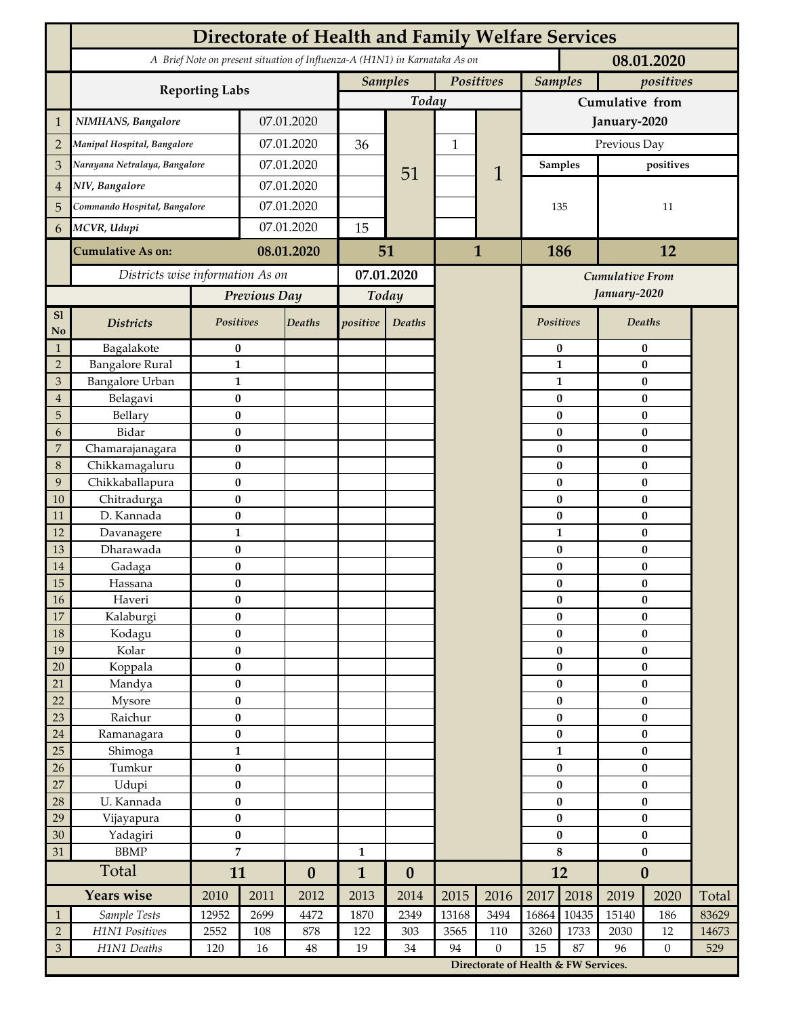|                                 | <b>Directorate of Health and Family Welfare Services</b>                                 |                               |                             |                  |              |                  |                             |                                      |                       |                   |                        |                       |       |  |
|---------------------------------|------------------------------------------------------------------------------------------|-------------------------------|-----------------------------|------------------|--------------|------------------|-----------------------------|--------------------------------------|-----------------------|-------------------|------------------------|-----------------------|-------|--|
|                                 | A Brief Note on present situation of Influenza-A (H1N1) in Karnataka As on<br>08.01.2020 |                               |                             |                  |              |                  |                             |                                      |                       |                   |                        |                       |       |  |
|                                 |                                                                                          |                               | <b>Samples</b><br>Positives |                  |              |                  | <b>Samples</b><br>positives |                                      |                       |                   |                        |                       |       |  |
|                                 | <b>Reporting Labs</b>                                                                    |                               |                             |                  |              | Today            |                             |                                      | Cumulative from       |                   |                        |                       |       |  |
| 1                               | NIMHANS, Bangalore                                                                       | 07.01.2020                    |                             |                  |              |                  |                             | January-2020                         |                       |                   |                        |                       |       |  |
| $\overline{2}$                  | Manipal Hospital, Bangalore                                                              |                               | 07.01.2020                  |                  | 36           |                  | $\mathbf{1}$                |                                      | Previous Day          |                   |                        |                       |       |  |
| 3                               |                                                                                          | Narayana Netralaya, Bangalore |                             | 07.01.2020       |              |                  |                             | 1                                    |                       | <b>Samples</b>    | positives              |                       |       |  |
| $\overline{4}$                  | NIV, Bangalore                                                                           |                               | 07.01.2020                  |                  |              | 51               |                             |                                      |                       |                   |                        |                       |       |  |
| 5                               | Commando Hospital, Bangalore                                                             |                               | 07.01.2020                  |                  |              |                  |                             |                                      | 135                   |                   | 11                     |                       |       |  |
|                                 | MCVR, Udupi                                                                              |                               | 07.01.2020                  |                  | 15           |                  |                             |                                      |                       |                   |                        |                       |       |  |
| 6                               |                                                                                          |                               |                             |                  |              |                  |                             |                                      |                       |                   |                        |                       |       |  |
|                                 | <b>Cumulative As on:</b>                                                                 |                               | 08.01.2020                  |                  | 51           |                  | 1                           |                                      | 186<br>12             |                   |                        |                       |       |  |
|                                 | Districts wise information As on                                                         |                               |                             | 07.01.2020       |              |                  |                             | Cumulative From                      |                       |                   |                        |                       |       |  |
|                                 |                                                                                          | Previous Day                  |                             | Today            |              |                  |                             |                                      |                       |                   | January-2020           |                       |       |  |
| S1<br>No                        | <b>Districts</b>                                                                         | Positives                     |                             | Deaths           | positive     | Deaths           |                             |                                      | Positives             |                   |                        | Deaths                |       |  |
| $\mathbf{1}$                    | Bagalakote                                                                               | $\bf{0}$                      |                             |                  |              |                  |                             |                                      |                       | $\pmb{0}$         | $\pmb{0}$              |                       |       |  |
| $\overline{2}$                  | <b>Bangalore Rural</b>                                                                   | $\mathbf{1}$                  |                             |                  |              |                  |                             |                                      |                       | $\mathbf{1}$      | $\pmb{0}$              |                       |       |  |
| 3                               | <b>Bangalore Urban</b>                                                                   | $\mathbf{1}$                  |                             |                  |              |                  |                             |                                      |                       | $\mathbf{1}$      |                        | $\bf{0}$              |       |  |
| $\boldsymbol{4}$<br>$\mathbf 5$ | Belagavi<br>Bellary                                                                      | $\bf{0}$<br>$\bf{0}$          |                             |                  |              |                  |                             |                                      |                       | 0<br>$\bf{0}$     |                        | $\bf{0}$<br>$\bf{0}$  |       |  |
| 6                               | Bidar                                                                                    | $\bf{0}$                      |                             |                  |              |                  |                             |                                      |                       | $\bf{0}$          |                        | $\bf{0}$              |       |  |
| $\overline{7}$                  | Chamarajanagara                                                                          | $\bf{0}$                      |                             |                  |              |                  |                             |                                      |                       | $\bf{0}$          |                        | $\bf{0}$              |       |  |
| 8                               | Chikkamagaluru                                                                           | $\bf{0}$                      |                             |                  |              |                  |                             |                                      |                       | 0                 |                        | $\bf{0}$              |       |  |
| 9                               | Chikkaballapura                                                                          | $\bf{0}$                      |                             |                  |              |                  |                             |                                      |                       | 0                 |                        | $\bf{0}$              |       |  |
| 10                              | Chitradurga                                                                              | $\bf{0}$                      |                             |                  |              |                  |                             |                                      |                       | 0                 |                        | $\bf{0}$              |       |  |
| 11<br>12                        | D. Kannada                                                                               | $\bf{0}$<br>$\mathbf{1}$      |                             |                  |              |                  |                             |                                      |                       | 0<br>$\mathbf{1}$ |                        | $\bf{0}$<br>$\pmb{0}$ |       |  |
| 13                              | Davanagere<br>Dharawada                                                                  | $\pmb{0}$                     |                             |                  |              |                  |                             |                                      |                       | $\bf{0}$          |                        | $\bf{0}$              |       |  |
| 14                              | Gadaga                                                                                   | $\bf{0}$                      |                             |                  |              |                  |                             |                                      |                       | 0                 |                        | $\bf{0}$              |       |  |
| 15                              | Hassana                                                                                  | $\bf{0}$                      |                             |                  |              |                  |                             |                                      |                       | 0                 |                        | $\pmb{0}$             |       |  |
| $16\,$                          | Haveri                                                                                   | $\pmb{0}$                     |                             |                  |              |                  |                             |                                      |                       | $\pmb{0}$         | $\pmb{0}$              |                       |       |  |
| $17\,$                          | Kalaburgi                                                                                | $\bf{0}$                      |                             |                  |              |                  |                             |                                      |                       | $\bf{0}$          |                        | $\bf{0}$              |       |  |
| 18                              | Kodagu                                                                                   | $\pmb{0}$                     |                             |                  |              |                  |                             |                                      |                       | $\pmb{0}$         | $\pmb{0}$              |                       |       |  |
| 19                              | Kolar                                                                                    | $\pmb{0}$                     |                             |                  |              |                  |                             |                                      |                       | $\pmb{0}$         | $\pmb{0}$              |                       |       |  |
| 20                              | Koppala                                                                                  | $\pmb{0}$<br>$\bf{0}$         |                             |                  |              |                  |                             |                                      | $\pmb{0}$<br>$\bf{0}$ |                   | $\pmb{0}$<br>$\pmb{0}$ |                       |       |  |
| 21<br>22                        | Mandya<br>Mysore                                                                         | $\pmb{0}$                     |                             |                  |              |                  |                             |                                      | $\bf{0}$              |                   | $\pmb{0}$              |                       |       |  |
| 23                              | Raichur                                                                                  | $\pmb{0}$                     |                             |                  |              |                  |                             |                                      |                       | $\pmb{0}$         | $\pmb{0}$              |                       |       |  |
| $24\,$                          | Ramanagara                                                                               | $\pmb{0}$                     |                             |                  |              |                  |                             |                                      |                       | $\pmb{0}$         | $\pmb{0}$              |                       |       |  |
| 25                              | Shimoga                                                                                  | $\mathbf{1}$                  |                             |                  |              |                  |                             |                                      | $\mathbf{1}$          |                   | $\bf{0}$               |                       |       |  |
| 26                              | Tumkur                                                                                   | $\bf{0}$                      |                             |                  |              |                  |                             |                                      | $\bf{0}$              |                   | $\pmb{0}$              |                       |       |  |
| 27                              | Udupi                                                                                    | $\pmb{0}$                     |                             |                  |              |                  |                             |                                      | $\bf{0}$              |                   | $\pmb{0}$              |                       |       |  |
| 28                              | U. Kannada                                                                               | $\bf{0}$                      |                             |                  |              |                  |                             |                                      |                       | $\pmb{0}$         | $\bf{0}$               |                       |       |  |
| 29                              | Vijayapura                                                                               | $\pmb{0}$                     |                             |                  |              |                  |                             |                                      | $\pmb{0}$             |                   | $\pmb{0}$              |                       |       |  |
| 30<br>31                        | Yadagiri<br><b>BBMP</b>                                                                  | $\pmb{0}$<br>$\overline{7}$   |                             |                  | $\mathbf{1}$ |                  |                             |                                      | $\pmb{0}$<br>$\bf 8$  |                   | $\pmb{0}$<br>$\pmb{0}$ |                       |       |  |
|                                 | Total                                                                                    | 11                            |                             | $\boldsymbol{0}$ | $\mathbf{1}$ | $\boldsymbol{0}$ |                             |                                      | 12                    |                   | $\boldsymbol{0}$       |                       |       |  |
|                                 | <b>Years wise</b>                                                                        | 2010                          | 2011                        | 2012             | 2013         | 2014             | 2015                        | 2016                                 | 2017                  | 2018              | 2019                   | 2020                  | Total |  |
| $\mathbf{1}$                    | Sample Tests                                                                             | 12952                         | 2699                        | 4472             | 1870         | 2349             | 13168                       | 3494                                 | 16864                 | 10435             | 15140                  | 186                   | 83629 |  |
| $\sqrt{2}$                      | H1N1 Positives                                                                           | 2552                          | 108                         | 878              | 122          | 303              | 3565                        | 110                                  | 3260                  | 1733              | 2030                   | 12                    | 14673 |  |
| $\ensuremath{\mathfrak{Z}}$     | H1N1 Deaths                                                                              | 120                           | 16                          | 48               | 19           | $34\,$           | 94                          | $\boldsymbol{0}$                     | 15                    | 87                | 96                     | $\overline{0}$        | 529   |  |
|                                 |                                                                                          |                               |                             |                  |              |                  |                             | Directorate of Health & FW Services. |                       |                   |                        |                       |       |  |